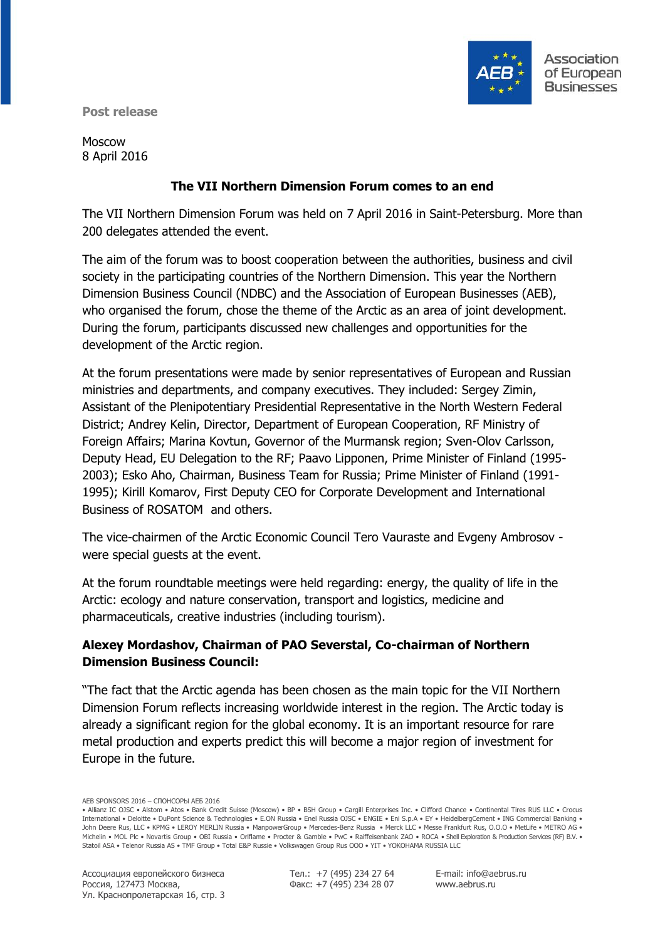

**Post release**

Moscow 8 April 2016

## **The VII Northern Dimension Forum comes to an end**

The VII Northern Dimension Forum was held on 7 April 2016 in Saint-Petersburg. More than 200 delegates attended the event.

The aim of the forum was to boost cooperation between the authorities, business and civil society in the participating countries of the Northern Dimension. This year the Northern Dimension Business Council (NDBC) and the Association of European Businesses (AEB), who organised the forum, chose the theme of the Arctic as an area of joint development. During the forum, participants discussed new challenges and opportunities for the development of the Arctic region.

At the forum presentations were made by senior representatives of European and Russian ministries and departments, and company executives. They included: Sergey Zimin, Assistant of the Plenipotentiary Presidential Representative in the North Western Federal District; Andrey Kelin, Director, Department of European Cooperation, RF Ministry of Foreign Affairs; Marina Kovtun, Governor of the Murmansk region; Sven-Olov Carlsson, Deputy Head, EU Delegation to the RF; Paavo Lipponen, Prime Minister of Finland (1995- 2003); Esko Aho, Chairman, Business Team for Russia; Prime Minister of Finland (1991- 1995); Kirill Komarov, First Deputy CEO for Corporate Development and International Business of ROSATOM and others.

The vice-chairmen of the Arctic Economic Council Tero Vauraste and Evgeny Ambrosov were special guests at the event.

At the forum roundtable meetings were held regarding: energy, the quality of life in the Arctic: ecology and nature conservation, transport and logistics, medicine and pharmaceuticals, creative industries (including tourism).

# **Alexey Mordashov, Chairman of PAO Severstal, Co-chairman of Northern Dimension Business Council:**

"The fact that the Arctic agenda has been chosen as the main topic for the VII Northern Dimension Forum reflects increasing worldwide interest in the region. The Arctic today is already a significant region for the global economy. It is an important resource for rare metal production and experts predict this will become a major region of investment for Europe in the future.

Тел.: +7 (495) 234 27 64 Факс: +7 (495) 234 28 07

E-mail: info@aebrus.ru www.aebrus.ru

AEB SPONSORS 2016 – СПОНСОРЫ АЕБ 2016

<sup>•</sup> Allianz IC OJSC • Alstom • Atos • Bank Credit Suisse (Moscow) • BP • BSH Group • Cargill Enterprises Inc. • Clifford Chance • Continental Tires RUS LLC • Crocus International • Deloitte • DuPont Science & Technologies • E.ON Russia • Enel Russia OJSC • ENGIE • Eni S.p.A • EY • HeidelbergCement • ING Commercial Banking • John Deere Rus, LLC • KPMG • LEROY MERLIN Russia • ManpowerGroup • Mercedes-Benz Russia • Merck LLC • Messe Frankfurt Rus, O.O.O • MetLife • METRO AG • Michelin • MOL Plc • Novartis Group • OBI Russia • Oriflame • Procter & Gamble • PwC • Raiffeisenbank ZAO • ROCA • Shell Exploration & Production Services (RF) B.V. • Statoil ASA • Telenor Russia AS • TMF Group • Total E&P Russie • Volkswagen Group Rus OOO • YIT • YOKOHAMA RUSSIA LLC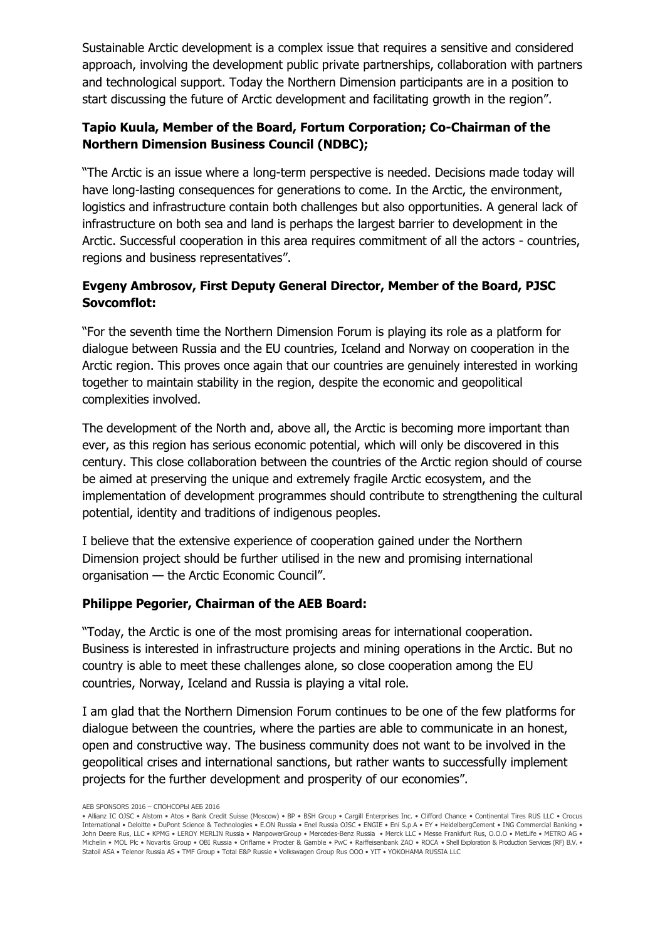Sustainable Arctic development is a complex issue that requires a sensitive and considered approach, involving the development public private partnerships, collaboration with partners and technological support. Today the Northern Dimension participants are in a position to start discussing the future of Arctic development and facilitating growth in the region".

# **Tapio Kuula, Member of the Board, Fortum Corporation; Co-Chairman of the Northern Dimension Business Council (NDBC);**

"The Arctic is an issue where a long-term perspective is needed. Decisions made today will have long-lasting consequences for generations to come. In the Arctic, the environment, logistics and infrastructure contain both challenges but also opportunities. A general lack of infrastructure on both sea and land is perhaps the largest barrier to development in the Arctic. Successful cooperation in this area requires commitment of all the actors - countries, regions and business representatives".

# **Evgeny Ambrosov, First Deputy General Director, Member of the Board, PJSC Sovcomflot:**

"For the seventh time the Northern Dimension Forum is playing its role as a platform for dialogue between Russia and the EU countries, Iceland and Norway on cooperation in the Arctic region. This proves once again that our countries are genuinely interested in working together to maintain stability in the region, despite the economic and geopolitical complexities involved.

The development of the North and, above all, the Arctic is becoming more important than ever, as this region has serious economic potential, which will only be discovered in this century. This close collaboration between the countries of the Arctic region should of course be aimed at preserving the unique and extremely fragile Arctic ecosystem, and the implementation of development programmes should contribute to strengthening the cultural potential, identity and traditions of indigenous peoples.

I believe that the extensive experience of cooperation gained under the Northern Dimension project should be further utilised in the new and promising international organisation — the Arctic Economic Council".

#### **Philippe Pegorier, Chairman of the AEB Board:**

"Today, the Arctic is one of the most promising areas for international cooperation. Business is interested in infrastructure projects and mining operations in the Arctic. But no country is able to meet these challenges alone, so close cooperation among the EU countries, Norway, Iceland and Russia is playing a vital role.

I am glad that the Northern Dimension Forum continues to be one of the few platforms for dialogue between the countries, where the parties are able to communicate in an honest, open and constructive way. The business community does not want to be involved in the geopolitical crises and international sanctions, but rather wants to successfully implement projects for the further development and prosperity of our economies".

AEB SPONSORS 2016 – СПОНСОРЫ АЕБ 2016

<sup>•</sup> Allianz IC OJSC • Alstom • Atos • Bank Credit Suisse (Moscow) • BP • BSH Group • Cargill Enterprises Inc. • Clifford Chance • Continental Tires RUS LLC • Crocus International • Deloitte • DuPont Science & Technologies • E.ON Russia • Enel Russia OJSC • ENGIE • Eni S.p.A • EY • HeidelbergCement • ING Commercial Banking • John Deere Rus, LLC • KPMG • LEROY MERLIN Russia • ManpowerGroup • Mercedes-Benz Russia • Merck LLC • Messe Frankfurt Rus, O.O.O • MetLife • METRO AG • Michelin • MOL Plc • Novartis Group • OBI Russia • Oriflame • Procter & Gamble • PwC • Raiffeisenbank ZAO • ROCA • Shell Exploration & Production Services (RF) B.V. • Statoil ASA • Telenor Russia AS • TMF Group • Total E&P Russie • Volkswagen Group Rus OOO • YIT • YOKOHAMA RUSSIA LLC